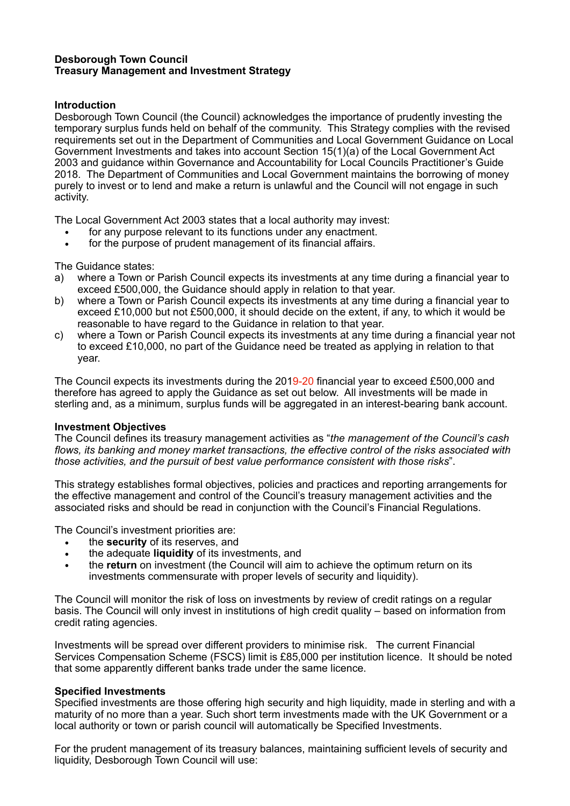## **Desborough Town Council Treasury Management and Investment Strategy**

# **Introduction**

Desborough Town Council (the Council) acknowledges the importance of prudently investing the temporary surplus funds held on behalf of the community. This Strategy complies with the revised requirements set out in the Department of Communities and Local Government Guidance on Local Government Investments and takes into account Section 15(1)(a) of the Local Government Act 2003 and guidance within Governance and Accountability for Local Councils Practitioner's Guide 2018. The Department of Communities and Local Government maintains the borrowing of money purely to invest or to lend and make a return is unlawful and the Council will not engage in such activity.

The Local Government Act 2003 states that a local authority may invest:

- for any purpose relevant to its functions under any enactment.
- for the purpose of prudent management of its financial affairs.

The Guidance states:

- a) where a Town or Parish Council expects its investments at any time during a financial year to exceed £500,000, the Guidance should apply in relation to that year.
- b) where a Town or Parish Council expects its investments at any time during a financial year to exceed £10,000 but not £500,000, it should decide on the extent, if any, to which it would be reasonable to have regard to the Guidance in relation to that year.
- c) where a Town or Parish Council expects its investments at any time during a financial year not to exceed £10,000, no part of the Guidance need be treated as applying in relation to that year.

The Council expects its investments during the 2019-20 financial year to exceed £500,000 and therefore has agreed to apply the Guidance as set out below. All investments will be made in sterling and, as a minimum, surplus funds will be aggregated in an interest-bearing bank account.

#### **Investment Objectives**

The Council defines its treasury management activities as "*the management of the Council's cash flows, its banking and money market transactions, the effective control of the risks associated with those activities, and the pursuit of best value performance consistent with those risks*".

This strategy establishes formal objectives, policies and practices and reporting arrangements for the effective management and control of the Council's treasury management activities and the associated risks and should be read in conjunction with the Council's Financial Regulations.

The Council's investment priorities are:

- the **security** of its reserves, and
- the adequate **liquidity** of its investments, and
- the **return** on investment (the Council will aim to achieve the optimum return on its investments commensurate with proper levels of security and liquidity).

The Council will monitor the risk of loss on investments by review of credit ratings on a regular basis. The Council will only invest in institutions of high credit quality – based on information from credit rating agencies.

Investments will be spread over different providers to minimise risk. The current Financial Services Compensation Scheme (FSCS) limit is £85,000 per institution licence. It should be noted that some apparently different banks trade under the same licence.

#### **Specified Investments**

Specified investments are those offering high security and high liquidity, made in sterling and with a maturity of no more than a year. Such short term investments made with the UK Government or a local authority or town or parish council will automatically be Specified Investments.

For the prudent management of its treasury balances, maintaining sufficient levels of security and liquidity, Desborough Town Council will use: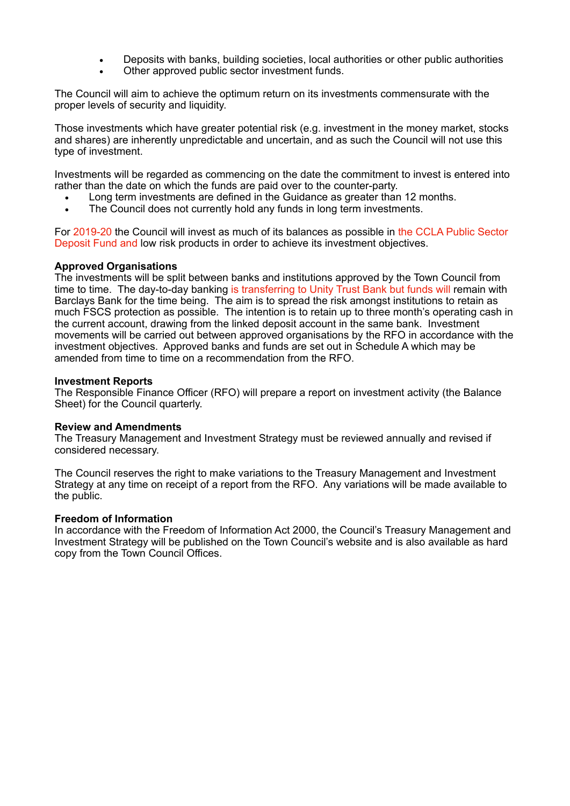- Deposits with banks, building societies, local authorities or other public authorities
- Other approved public sector investment funds.

The Council will aim to achieve the optimum return on its investments commensurate with the proper levels of security and liquidity.

Those investments which have greater potential risk (e.g. investment in the money market, stocks and shares) are inherently unpredictable and uncertain, and as such the Council will not use this type of investment.

Investments will be regarded as commencing on the date the commitment to invest is entered into rather than the date on which the funds are paid over to the counter-party.

- Long term investments are defined in the Guidance as greater than 12 months.
- The Council does not currently hold any funds in long term investments.

For 2019-20 the Council will invest as much of its balances as possible in the CCLA Public Sector Deposit Fund and low risk products in order to achieve its investment objectives.

#### **Approved Organisations**

The investments will be split between banks and institutions approved by the Town Council from time to time. The day-to-day banking is transferring to Unity Trust Bank but funds will remain with Barclays Bank for the time being. The aim is to spread the risk amongst institutions to retain as much FSCS protection as possible. The intention is to retain up to three month's operating cash in the current account, drawing from the linked deposit account in the same bank. Investment movements will be carried out between approved organisations by the RFO in accordance with the investment objectives. Approved banks and funds are set out in Schedule A which may be amended from time to time on a recommendation from the RFO.

#### **Investment Reports**

The Responsible Finance Officer (RFO) will prepare a report on investment activity (the Balance Sheet) for the Council quarterly.

#### **Review and Amendments**

The Treasury Management and Investment Strategy must be reviewed annually and revised if considered necessary.

The Council reserves the right to make variations to the Treasury Management and Investment Strategy at any time on receipt of a report from the RFO. Any variations will be made available to the public.

#### **Freedom of Information**

In accordance with the Freedom of Information Act 2000, the Council's Treasury Management and Investment Strategy will be published on the Town Council's website and is also available as hard copy from the Town Council Offices.